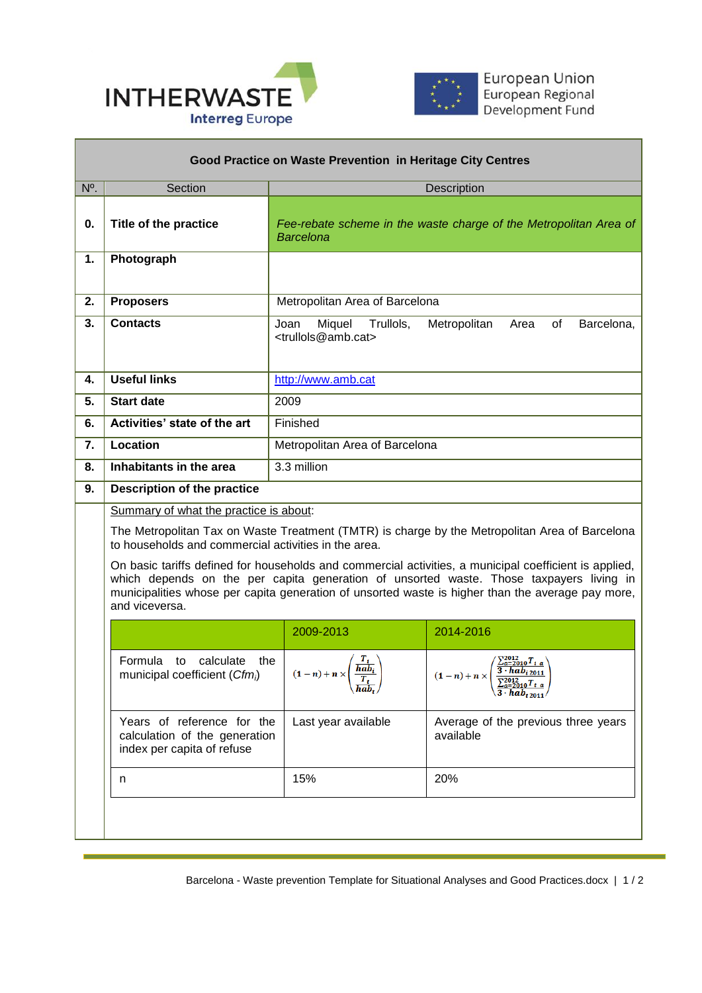



| Good Practice on Waste Prevention in Heritage City Centres |                                                                                                                                                                                                                                                                                                                          |                                                                                                |                                                                                                  |  |
|------------------------------------------------------------|--------------------------------------------------------------------------------------------------------------------------------------------------------------------------------------------------------------------------------------------------------------------------------------------------------------------------|------------------------------------------------------------------------------------------------|--------------------------------------------------------------------------------------------------|--|
| N <sup>o</sup> .                                           | Section                                                                                                                                                                                                                                                                                                                  |                                                                                                | Description                                                                                      |  |
| 0.                                                         | Title of the practice                                                                                                                                                                                                                                                                                                    | <b>Barcelona</b>                                                                               | Fee-rebate scheme in the waste charge of the Metropolitan Area of                                |  |
| 1.                                                         | Photograph                                                                                                                                                                                                                                                                                                               |                                                                                                |                                                                                                  |  |
| 2.                                                         | <b>Proposers</b>                                                                                                                                                                                                                                                                                                         | Metropolitan Area of Barcelona                                                                 |                                                                                                  |  |
| 3.                                                         | <b>Contacts</b>                                                                                                                                                                                                                                                                                                          | Miquel<br>Trullols,<br>Joan<br><trullols@amb.cat></trullols@amb.cat>                           | Metropolitan<br>of<br>Area<br>Barcelona,                                                         |  |
| 4.                                                         | <b>Useful links</b>                                                                                                                                                                                                                                                                                                      | http://www.amb.cat                                                                             |                                                                                                  |  |
| 5.                                                         | <b>Start date</b>                                                                                                                                                                                                                                                                                                        | 2009                                                                                           |                                                                                                  |  |
| 6.                                                         | Activities' state of the art                                                                                                                                                                                                                                                                                             | Finished                                                                                       |                                                                                                  |  |
| 7.                                                         | Location                                                                                                                                                                                                                                                                                                                 | Metropolitan Area of Barcelona                                                                 |                                                                                                  |  |
| 8.                                                         | Inhabitants in the area                                                                                                                                                                                                                                                                                                  | 3.3 million                                                                                    |                                                                                                  |  |
| 9.                                                         | <b>Description of the practice</b>                                                                                                                                                                                                                                                                                       |                                                                                                |                                                                                                  |  |
|                                                            | Summary of what the practice is about:                                                                                                                                                                                                                                                                                   |                                                                                                |                                                                                                  |  |
|                                                            | to households and commercial activities in the area.                                                                                                                                                                                                                                                                     | The Metropolitan Tax on Waste Treatment (TMTR) is charge by the Metropolitan Area of Barcelona |                                                                                                  |  |
|                                                            | On basic tariffs defined for households and commercial activities, a municipal coefficient is applied,<br>which depends on the per capita generation of unsorted waste. Those taxpayers living in<br>municipalities whose per capita generation of unsorted waste is higher than the average pay more,<br>and viceversa. |                                                                                                |                                                                                                  |  |
|                                                            |                                                                                                                                                                                                                                                                                                                          | 2009-2013                                                                                      | 2014-2016                                                                                        |  |
|                                                            | Formula<br>calculate<br>to<br>the<br>municipal coefficient (Cfmi)                                                                                                                                                                                                                                                        | $\overline{hab_i}$<br>$(1-n)+n\times$<br>$\overline{hab_{t}}$                                  | $3 \cdot hab_{i\,2011}$<br>$(1-n)+n\times$<br>$\frac{\sum_{a=2010}^{x} t}{3 \cdot hab_{t,2011}}$ |  |
|                                                            | Years of reference for the<br>calculation of the generation<br>index per capita of refuse                                                                                                                                                                                                                                | Last year available                                                                            | Average of the previous three years<br>available                                                 |  |
|                                                            | n                                                                                                                                                                                                                                                                                                                        | 15%                                                                                            | 20%                                                                                              |  |
|                                                            |                                                                                                                                                                                                                                                                                                                          |                                                                                                |                                                                                                  |  |

 $\overline{a}$ 

Barcelona - Waste prevention Template for Situational Analyses and Good Practices.docx | 1 / 2